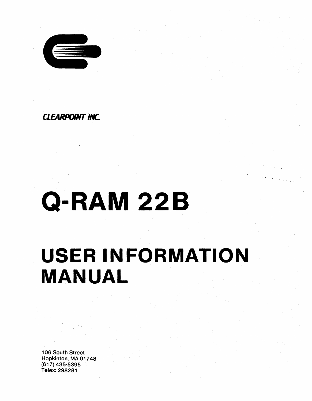

*CLEARPOINT INC.* 

# **Q-RAM22B**

# **USER INFORMATION MANUAL**

106 South Street Hopkinton, MA 01748 (S1 7) 435-5395 Telex: 298281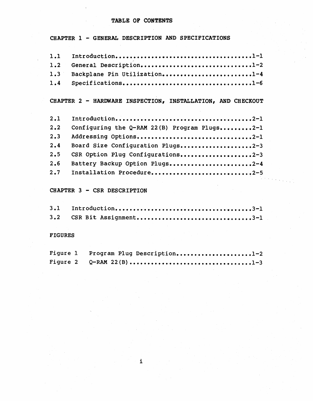#### TABLE OF CONTENTS

CHAPTER 1 - GENERAL DESCRIPTION AND SPECIFICATIONS

| 1.2 General Description1-2       |  |
|----------------------------------|--|
| 1.3 Backplane Pin Utilization1-4 |  |
| 1.4 Specifications1-6            |  |

CHAPTER 2 - HARDWARE INSPECTION, INSTALLATION, AND CHECKOUT

| 2.2 | Configuring the Q-RAM 22(B) Program Plugs2-1 |
|-----|----------------------------------------------|
| 2.3 | Addressing Options2-1                        |
| 2.4 | Board Size Configuration Plugs2-3            |
| 2.5 | CSR Option Plug Configurations2-3            |
| 2.6 | Battery Backup Option Plugs2-4               |
|     | 2.7 Installation Procedure2-5                |

CHAPTER 3 - CSR DESCRIPTION

| 3.2 CSR Bit Assignment3-1 |  |
|---------------------------|--|

#### FIGURES

| Figure 1 Program Plug Description1-2 |  |
|--------------------------------------|--|
|                                      |  |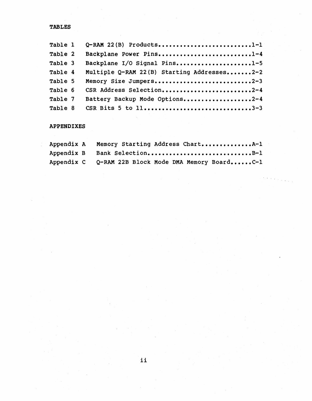### TABLES

| Table 1 | $Q$ -RAM 22(B) Products1-1                 |
|---------|--------------------------------------------|
| Table 2 | Backplane Power Pins1-4                    |
| Table 3 | Backplane I/O Signal Pins1-5               |
| Table 4 | Multiple Q-RAM 22(B) Starting Addresses2-2 |
| Table 5 | Memory Size Jumpers2-3                     |
| Table 6 | CSR Address Selection2-4                   |
| Table 7 | Battery Backup Mode Options2-4             |
| Table 8 |                                            |

#### APPENDIXES

| Appendix A Memory Starting Address ChartA-1         |
|-----------------------------------------------------|
| Appendix B Bank SelectionB-1                        |
| Appendix C Q-RAM 22B Block Mode DMA Memory BoardC-1 |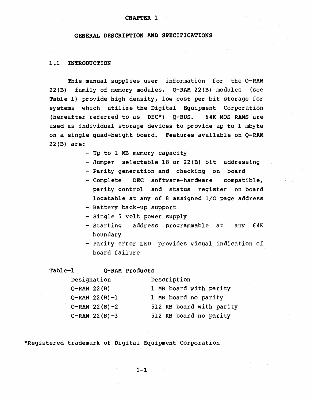#### CHAPTER 1

#### GENERAL DESCRIPTION AND SPECIFICATIONS

#### 1.1 INTRODUCTION

This manual supplies user information for the Q-RAM 22(B) family of memory modules. Q-RAM 22(B) modules (see Table 1) provide high density, low cost per bit storage for systems which utilize the Digital Equipment Corporation (hereafter referred to as DEC\*) Q-BUS. 64K MOS RAMS are used as individual storage devices to provide up to 1 mbyte on a single quad-height board. Features available on Q-RAM 22(B) are:

- Up to 1 MB memory capacity
- Jumper selectable 18 or 22(B) bit addressing
- Parity generation and checking on board
- Complete DEC software-hardware compatible, parity control and status register on board locatable at any of 8 assigned I/O page address
- Battery back-up support
- Single 5 volt power supply
- Starting address programmable at any 64K boundary
- Parity error LED provides visual indication of board failure

#### Table-l Q-RAM Products

| Designation        | Description              |  |  |  |  |  |  |
|--------------------|--------------------------|--|--|--|--|--|--|
| $Q$ -RAM 22 $(B)$  | 1 MB board with parity   |  |  |  |  |  |  |
| $Q-RAM$ 22(B)-1    | 1 MB board no parity     |  |  |  |  |  |  |
| $Q$ -RAM 22(B)-2   | 512 KB board with parity |  |  |  |  |  |  |
| $Q - RAM$ 22(B) -3 | 512 KB board no parity   |  |  |  |  |  |  |

\*Registered trademark of Digital Equipment Corporation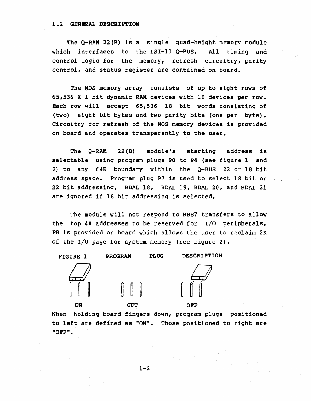#### 1.2 GENERAL DESCRIPTION

The  $Q-RAM$  22(B) is a single quad-height memory module which interfaces to the LSI-11  $Q$ -BUS. All timing and control logic for the memory, refresh circuitry, parity control, and status register are contained on board.

The MOS memory array consists of up to eight rows of 65,536 X 1 bit dynamic RAM devices with 18 devices per row. Each row will accept 65,536 18 bit words consisting of (two) eight bit bytes and two parity bits (one per byte). Circuitry for refresh of the MOS memory devices is provided on board and operates transparently to the user.

The  $Q-RAM$  22(B) module's starting address is selectable using program plugs P0 to P4 (see figure 1 and 2) to any 64K boundary within the Q~BUS 22 or 18 bit address space. Program plug P7 is used to select 18 bit or 22 bit addressing. BDAL 18, BDAL 19, BDAL 20, and BDAL 21 are ignored if 18 bit addressing is selected.

The module will not respond to BBS7 transfers to allow the top 4K addresses to be reserved for I/O peripherals. P8 is provided on board which allows the user to reclaim 2K of the I/O page for system memory (see figure 2).

FIGURE 1 PROGRAM PLUG DESCRIPTION



ON OUT OFF



When holding board fingers down, program plugs positioned to left are defined as "ON". Those positioned to right are "OFF".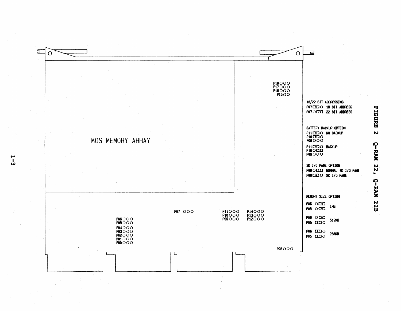

...., I w **FIGURE**  $\mathbf{v}$ **C-RAM 22,** Q-RAM 22B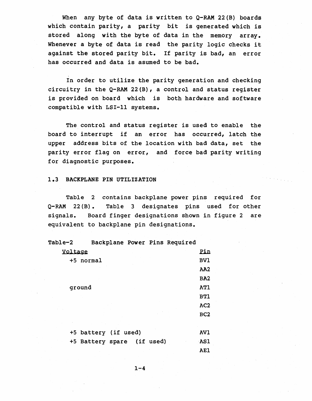When any byte of data is written to  $Q$ -RAM 22(B) boards which contain parity, a parity bit is generated which is stored along with the byte of data in the memory array. Whenever a byte of data is read the parity logic checks it against the stored parity bit. If parity is bad, an error has occurred and data is asumed to be bad.

In order to utilize the parity generation and checking circuitry in the  $Q$ -RAM 22(B), a control and status register is provided on board which is both hardware and software compatible with LSI-II systems.

The control and status register is used to enable the board to interrupt if an error has occurred, latch the upper address bits of the location with bad data, set the parity error flag on error, and force bad parity writing for diagnostic purposes.

#### 1.3 BACKPLANE PIN UTILIZATION

Table 2 contains backplane power pins required for Q-RAM 22(B). Table 3 designates pins used for other signals. Board finger designations shown in figure 2 are equivalent to backplane pin designations.

| Table-2   | Backplane Power Pins Required |  |                 |
|-----------|-------------------------------|--|-----------------|
| Voltage   |                               |  | Pin             |
| +5 normal |                               |  | <b>BV1</b>      |
|           |                               |  | AA <sub>2</sub> |
|           |                               |  | BA <sub>2</sub> |
| ground    |                               |  | <b>AT1</b>      |
|           |                               |  | <b>BT1</b>      |
|           |                               |  | AC <sub>2</sub> |
|           |                               |  | BC <sub>2</sub> |
|           |                               |  |                 |
|           | +5 battery (if used)          |  | AV1             |
|           | +5 Battery spare (if used)    |  | <b>AS1</b>      |
|           |                               |  | <b>AEl</b>      |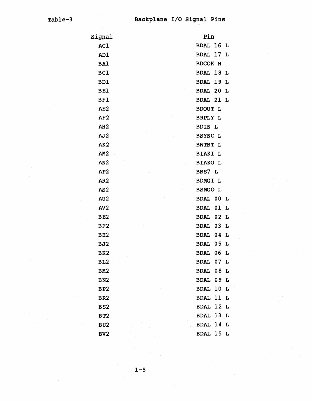| Signal          | Pin                    |
|-----------------|------------------------|
| AC1             | <b>BDAL 16</b><br>L    |
| AD1             | <b>BDAL 17</b><br>L    |
| <b>BAl</b>      | BDCOK H                |
| BC1             | BDAL 18<br>L           |
| BD1             | <b>BDAL 19</b><br>L    |
| <b>BE1</b>      | BDAL 20<br>L           |
| <b>BF1</b>      | <b>BDAL 21</b><br>L    |
| AE2             | <b>BDOUT L</b>         |
| AF2             | <b>BRPLY L</b>         |
| AH2             | <b>BDIN L</b>          |
| AJ2             | <b>BSYNC L</b>         |
| AK <sub>2</sub> | BWTBT L                |
| AM <sub>2</sub> | <b>BIAKI</b><br>L      |
| AN <sub>2</sub> | <b>BIAKO L</b>         |
| AP <sub>2</sub> | BBS7 L                 |
| AR <sub>2</sub> | <b>BDMGI L</b>         |
| AS <sub>2</sub> | <b>BSMGO L</b>         |
| AU2             | BDAL 00<br>L           |
| AV2             | 01<br><b>BDAL</b><br>L |
| BE <sub>2</sub> | <b>BDAL</b><br>02<br>L |
| BF <sub>2</sub> | 03<br><b>BDAL</b><br>L |
| BH2             | <b>BDAL</b><br>04<br>L |
| BJ2             | <b>BDAL</b><br>05<br>L |
| BK <sub>2</sub> | <b>BDAL</b><br>06<br>Ŀ |
| BL <sub>2</sub> | 07<br><b>BDAL</b><br>L |
| BM <sub>2</sub> | BDAL 08<br>L           |
| BN <sub>2</sub> | <b>BDAL</b><br>09<br>L |
| BP <sub>2</sub> | BDAL 10 L              |
| BR <sub>2</sub> | <b>BDAL</b><br>11<br>L |
| BS <sub>2</sub> | BDAL 12 L              |
| <b>BT2</b>      | BDAL 13 L              |
| BU <sub>2</sub> | BDAL 14<br>L           |
| BV <sub>2</sub> | BDAL 15 L              |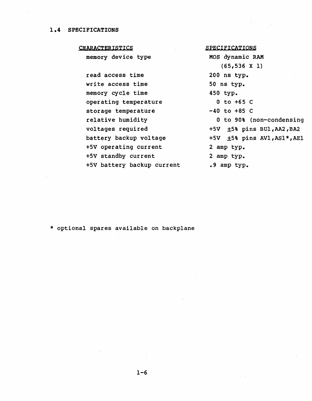#### 1.4 SPECIFICATIONS

#### **CHARACTERISTICS**

memory device type

read access time write access time memory cycle time operating temperature storage temperature relative humidity voltages required battery backup voltage +5V operating current +5V standby current +5V battery backup current

#### SPECIFICATIONS

MOS dynamic RAM (65,536 X 1)  $200$  ns typ. 50 ns typ. 450 typ. 0 to +65 C  $-40$  to  $+85$  C 0 to 90% (non-condensing +5V ±5% pins BUl,AA2,BA2 +5V +5% pins AVl,ASl\*,AEl 2 amp typ. 2 amp typ. .9 amp typ.

\* optional spares available on backplane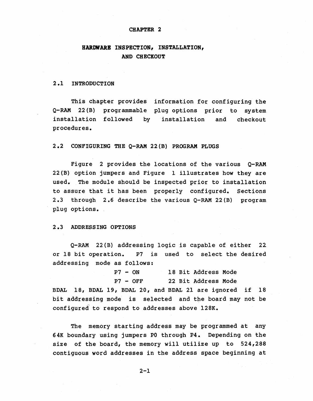#### CHAPTER 2

### HARDWARE INSPECTION, INSTALLATION, AND CHECKOUT

#### 2.1 INTRODUCTION

This chapter provides information for configuring the Q-RAM 22(B) programmable plug options prior to system installation followed by procedures. installation and checkout

#### 2.2 CONFIGURING THE Q-RAM 22(B) PROGRAM PLUGS

Figure 2 provides the locations of the various Q-RAM 22(B) option jumpers and Figure 1 illustrates how they are used. The module should be inspected prior to installation to assure that it has been properly configured. Sections 2.3 through 2.6 describe the various Q-RAM 22(B) program plug options.

#### 2.3 ADDRESSING OPTIONS

Q-RAM 22(B) addressing logic is capable of either 22 or 18 bit operation. P7 is used to select the desired addressing mode as follows:

|  | P7 - ON    |  | 18 Bit Address Mode |  |
|--|------------|--|---------------------|--|
|  | $P7 - OFF$ |  | 22 Bit Address Mode |  |

BDAL 18, BDAL 19, BDAL 20, and BDAL 21 are ignored if 18 bit addressing mode is selected and the board may not be configured to respond to addresses above l28K.

The memory starting address may be programmed at any 64K boundary using jumpers PO through P4. Depending on the size of the board, the memory will utilize up to 524,288 contiguous word addresses in the address space beginning at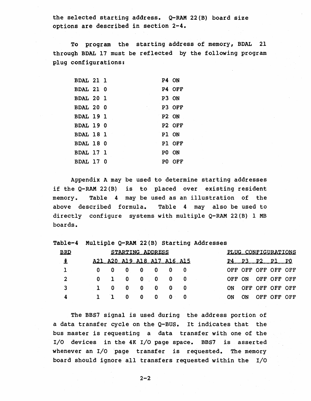the selected starting address. Q-RAM 22(B) board size options are described in section 2-4.

To program the starting address of memory, BDAL 21 through BDAL 17 must be reflected by the following program plug configurations:

| <b>BDAL 21 1</b> |  |       | P4 ON              |
|------------------|--|-------|--------------------|
| <b>BDAL 21 0</b> |  |       | P4 OFF             |
| <b>BDAL 20 1</b> |  |       | P3 ON              |
| <b>BDAL 20 0</b> |  |       | P3 OFF             |
| <b>BDAL 19 1</b> |  | P2 ON |                    |
| BDAL 190         |  |       | P <sub>2</sub> OFF |
| BDAL 18 1        |  |       | P1 ON              |
| BDAL 180         |  |       | P1 OFF             |
| BDAL 17 1        |  |       | PO ON              |
| BDAL 17 0        |  |       | PO OFF             |

Appendix A may be used to determine starting addresses if the Q-RAM 22(B) is to placed over existing resident memory. Table 4 may be used as an illustration of the above described formula. Table 4 may also be used to directly configure systems with multiple Q-RAM 22(B) 1 MB boards.

Table-4 Multiple Q-RAM 22(B) starting Addresses

| <b>BRD</b>   |              |   | STARTING ADDRESS            |   |             |              |     |    | PLUG CONFIGURATIONS |                 |             |      |
|--------------|--------------|---|-----------------------------|---|-------------|--------------|-----|----|---------------------|-----------------|-------------|------|
| 圭            |              |   | A21 A20 A19 A18 A17 A16 A15 |   |             |              |     |    | <b>P</b>            | ום לכד          |             | - PO |
|              | 0            |   | 0                           | 0 | 0           | 0            |     |    | OFF OFF OFF OFF OFF |                 |             |      |
| $\mathbf{2}$ | $\mathbf{0}$ |   | 0                           |   | $0 \quad 0$ | 0            | - 0 |    | OFF ON              |                 | OFF OFF OFF |      |
| 3            |              | 0 | 0                           | 0 | 0           | 0            | - 0 | ON |                     | OFF OFF OFF OFF |             |      |
| 4            |              |   | 0                           | 0 | 0           | $\mathbf{0}$ | -0  | ON | ON                  |                 | OFF OFF OFF |      |

The BBS7 signal is used during the address portion of a data transfer cycle on the Q-BUS. It indicates that the bus master is requesting a data transfer with one of the I/O devices in the 4K I/O page space. BBS7 is asserted whenever an I/O page transfer is requested. The memory board should ignore all transfers requested within the I/O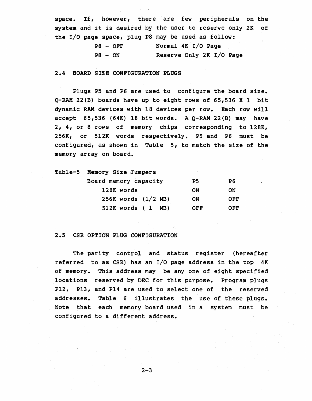space. If, however, there are few peripherals on the system and it is desired by the user to reserve only 2K of the I/O page space,' plug P8 may be used as follow:

|           | $P8 - OFF$ | Normal 4K I/O Page       |  |  |
|-----------|------------|--------------------------|--|--|
| $P8 - ON$ |            | Reserve Only 2K I/O Page |  |  |

#### 2.4 BOARD SIZE CONFIGURATION PLUGS

Plugs P5 and P6 are used to configure the board size. Q-RAM 22(B) boards have up to eight rows of 65,536 X 1 bit dynamic RAM devices with 18 devices per row. Each row will accept  $65,536$  (64K) 18 bit words. A Q-RAM 22(B) may have 2, 4, or 8 rows of memory chips corresponding to l28K, 256K, or 5l2K words respectively. P5 and P6 must be configured, as shown in Table 5, to match the size of the memory array on board.

| Table-5 Memory Size Jumpers |  |  |
|-----------------------------|--|--|
|-----------------------------|--|--|

| Board memory capacity   | P5.       | P6         |
|-------------------------|-----------|------------|
| 128K words              | ON        | ON         |
| $256K$ words $(1/2$ MB) | <b>ON</b> | <b>OFF</b> |
| 512K words (1<br>MB)    | OFF       | OFF        |

#### 2.5 CSR OPTION PLUG CONFIGURATION

The parity control and status register (hereafter referred to as CSR) has an I/O page address in the top 4K of memory. 'This address may be anyone of eight specified locations reserved by DEC for this purpose. Program plugs P12, P13, and P14 are used to select one of the reserved addresses. Table 6 illustrates the use of these plugs. Note that each memory board used in a system must be configured to a different address.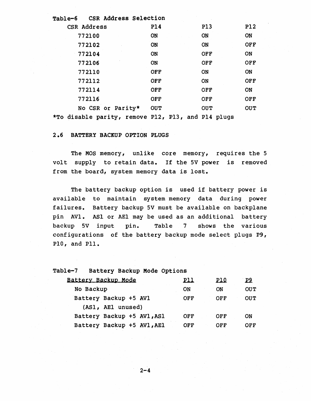| Table-6 CSR Address Selection                      |            |            |            |
|----------------------------------------------------|------------|------------|------------|
| CSR Address                                        | <b>P14</b> | <b>P13</b> | <b>P12</b> |
| 772100                                             | ON         | <b>ON</b>  | ON         |
| 772102                                             | ON         | <b>ON</b>  | <b>OFF</b> |
| 772104                                             | <b>ON</b>  | <b>OFF</b> | ON         |
| 772106                                             | <b>ON</b>  | <b>OFF</b> | OFF        |
| 772110                                             | <b>OFF</b> | <b>ON</b>  | <b>ON</b>  |
| 772112                                             | <b>OFF</b> | <b>ON</b>  | <b>OFF</b> |
| 772114                                             | <b>OFF</b> | <b>OFF</b> | <b>ON</b>  |
| 772116                                             | <b>OFF</b> | <b>OFF</b> | <b>OFF</b> |
| No CSR or Parity*                                  | <b>OUT</b> | <b>OUT</b> | <b>OUT</b> |
| *To disable parity, remove P12, P13, and P14 plugs |            |            |            |

2.6 BATTERY BACKUP OPTION PLUGS

The MOS memory, unlike core memory, requires the 5 volt supply to retain data. If the 5V power is removed from the board, system memory data is lost.

The battery backup option is used if battery power is available to maintain system memory data during power failures. Battery backup 5V must be available on backplane pin AVI. ASl or AEI may be used as an additional battery backup 5V input pin. Table 7 shows the various configurations of the battery backup mode select plugs P9, PlO, and Pll.

Table-7 Battery Backup Mode Options aatte[~ as~ku~ MQg~ .lll no.. n No Backup ON ON OUT Battery Backup +5 AV1 OFF OFF OUT (ASl, AEI unused) Battery Backup +5 AV1, AS1 OFF OFF ON Battery Backup +5 AVl,AEl OFF OFF OFF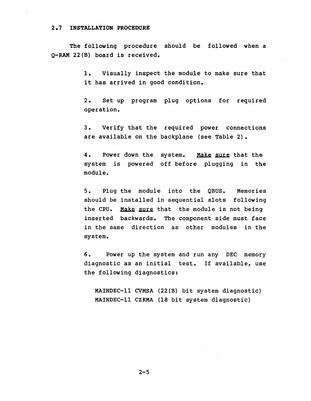#### 2.7 INSTALLATION PROCEDURE

The following procedure should be followed when a Q-RAM 22(B) board is received.

> 1. Visually inspect the module to make sure that it has arrived in good condition.

> 2. Set up program plug options for required operation.

> 3. Verify that the required power connections are available on the backplane (see Table 2).

> 4. Power down the system. Make sure that the system is powered off before plugging in the module.

> 5. Plug the module into the QBUS. Memories should be installed in sequential slots following the CPU. Make sure that the module is not being inserted backwards. The component side must face in the same direction as other modules in the system.

> 6. Power up the system and run any DEC memory diagnostic as an initial test. If available, use the following diagnostics:

MAINDEC-ll CVMSA (22(B) bit system diagnostic) MAINDEC-ll CZKMA (18 bit· system diagnostic)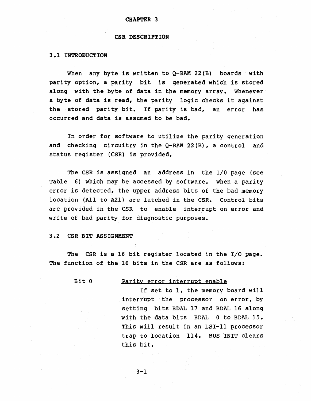#### CHAPTER 3

#### CSR DESCRIPTION

#### 3.1 INTRODUCTION

When any byte is written to Q-RAM 22(B) boards with parity option, a parity bit is generated which is stored along with the byte of data in the memory array. Whenever a byte of data is read, the parity logic checks it against the stored parity bit. If parity *is* bad, an error has occurred and data is assumed to be bad.

In order for software to utilize the parity generation and checking circuitry in the Q-RAM 22(B), a control and status register (CSR) is provided.

The CSR is assigned an address in the I/O page (see Table 6) which may be accessed by software. When a parity error is detected, the upper address bits of the bad memory location (All to A21) are latched in the CSR. Control bits are provided in the CSR to enable interrupt on error and write of bad parity for diagnostic purposes.

#### 3.2 CSR BIT ASSIGNMENT

The CSR is a 16 bit register located in the I/O page. The function of the 16 bits in the CSR are as follows:

#### Bit 0 Parity error interrupt enable

If set to 1, the memory board will interrupt the processor on error, by setting bits BDAL 17 and BDAL 16 along with the data bits BDAL 0 to BDAL 15. This will result in an LSI-II processor trap to location 114. BUSINIT clears this bit.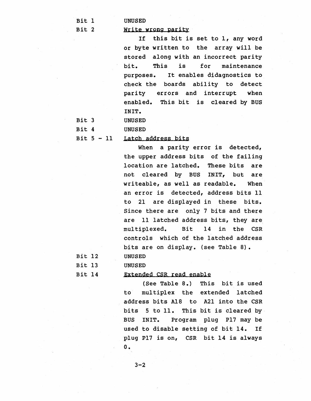Bit 1

Bit 2

#### Write wrong parity

UNUSED

If this bit is set to 1, any word or byte written to the array will be stored along with an incorrect parity bit. This is for maintenance purposes. check the boards ability to detect parity errors and interrupt when enabled. This bit is cleared by BUS INIT. It enables didagnostics to

Bit 3 Bit 4 UNUSED UNUSED

#### Bit  $5 - 11$ Latch address bits

When a parity error is detected, the upper address bits of the failing location are latched. These bits are not cleared by BUS INIT, but are writeable, as well as readable. When an error is detected, address bits 11 to 21 are displayed in these bits. Since there are only 7 bits and there are 11 latched address bits, they are multiplexed. Bit 14 in the CSR controls which of the latched address bits are on display. (see Table 8). UNUSED

Bit 12 Bit 13 Bit 14

## Extended CSR read enable

(See Table 8.) This bit is used to multiplex the extended latched address bits A18 to A2l into the CSR bits 5 to 11. This bit is cleared by BUS INIT. Program plug P17 may be used to disable setting of bit 14. If plug P17 is on, CSR bit 14 is always o.

UNUSED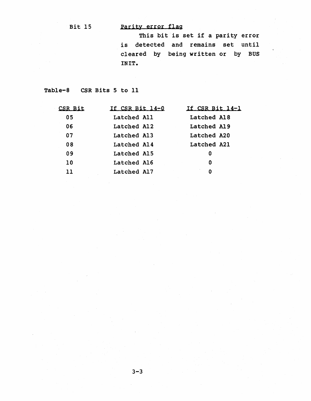# Bit 15 Parity error flag

This bit is set if a parity error is detected and remains set until cleared by being written or by BUS INIT.

Table-8 CSR Bits 5 to 11

| <u>CSR Bit</u> | If CSR Bit 14-0 | If CSR Bit 14-1 |
|----------------|-----------------|-----------------|
| 05             | Latched All     | Latched A18     |
| 06             | Latched Al2     | Latched A19     |
| 07             | Latched Al3     | Latched A20     |
| 08             | Latched Al4     | Latched A21     |
| 09             | Latched A15     | 0               |
| 10             | Latched A16     | 0               |
| 11             | Latched A17     | 0               |
|                |                 |                 |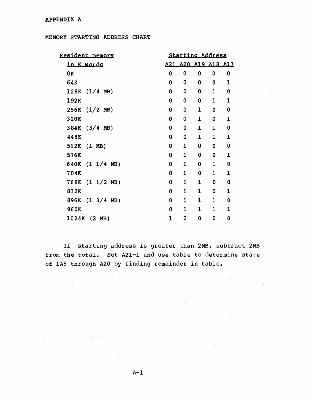| <u>Resident memory</u>       | Starting Address |              |              |              |              |
|------------------------------|------------------|--------------|--------------|--------------|--------------|
| <u>in K words</u>            | A21              | A20          |              | A19 A18 A17  |              |
| 0K                           | 0                | 0            | 0            | 0            | $\bf{0}$     |
| 64K                          | 0                | 0            | 0            | $\bf{0}$     | 1            |
| 128K<br>$(1/4$ MB)           | 0                | 0            | 0            | 1            | 0            |
| 192K                         | 0                | 0            | 0            | $\mathbf{1}$ | $\mathbf{1}$ |
| $(1/2$ MB)<br>256K           | 0                | 0            | $\mathbf{1}$ | 0            | 0            |
| 320K                         | 0                | 0            | $\mathbf{1}$ | 0            | $\mathbf{I}$ |
| 384K<br>$(3/4 \, \text{MB})$ | Ò                | 0            | 1            | 1            | 0            |
| 448K                         | 0                | 0            | 1            | $\mathbf{I}$ | $\mathbf{1}$ |
| $(1 \text{ MB})$<br>512K     | 0                | $\mathbf{I}$ | 0            | 0            | 0            |
| 576K                         | 0                | 1            | 0            | 0            | $\mathbf{1}$ |
| (1)<br>640K<br>1/4<br>MB)    | 0                | 1            | 0            | $\mathbf{1}$ | 0            |
| 704K                         | 0                | $\mathbf{1}$ | 0            | $\mathbf{1}$ | $\mathbf{I}$ |
| $(1 \ 1/2 \ MB)$<br>768K     | 0                | 1            | ı            | $\Omega$     | 0            |
| 832K                         | 0                | 1            | $\mathbf{1}$ | 0            | ı            |
| $(1 \t3/4 \tMB)$<br>896K     | 0                | 1            | 1            | 1            | 0            |
| 960K                         | 0                | 1            | ı            | $\mathbf{1}$ | 1            |
| 1024K<br>$(2 \text{ MB})$    | ı                | 0            | 0            | 0            | 0            |

If starting address is greater than 2MB, subtract 2MB from the total. Set A21-l and use table to determine state of lAS through A20 by finding remainder in table.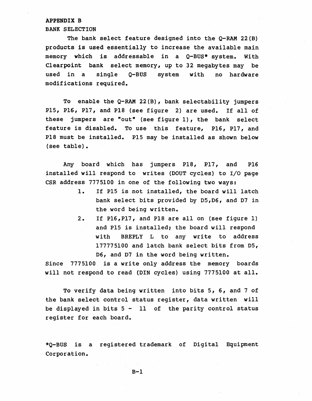#### APPENDIX B BANK SELECTION

The bank select feature designed into the Q-RAM 22(B) products is used essentially to increase the available main memory which is addressable in a Q-BUS\* system. With Clearpoint bank select memory, up to 32 megabytes may be used in a single Q-BUS system with no hardware modifications required.

To enable the Q-RAM 22(B), bank selectability jumpers P15, P16, P17, and PIS (see figure 2) are used. If all of these jumpers are "out" (see figure 1), the bank select feature is disabled. To use this feature, P16, P17, and PIS must be installed. P15 may be installed as shown below (see table).

Any board which has jumpers PIS, P17, and P16 installed will respond to writes (DOUT cycles) to I/O page CSR address 7775100 in one of the following two ways:

- 1. If PIS is not installed, the board will latch bank select bits provided by D5,D6, and D7 in the word being written.
- 2. If P16,P17, and PIS are all on (see figure 1) and PIS is installed; the board will respond with BREPLY L to any write to address 177775100 and latch bank select bits from Ds, D6, and D7 in the word being written.

Since 7775100 is a write only address the memory boards will not respond to read (DIN cycles) using 7775100 at all.

To verify data being written into bits 5, 6, and 7 of the bank select control status register, data written will be displayed in bits 5 - 11 of the parity control status register for each board.

\*Q-BUS is a registered trademark of Digital Equipment Corporation.

 $B-1$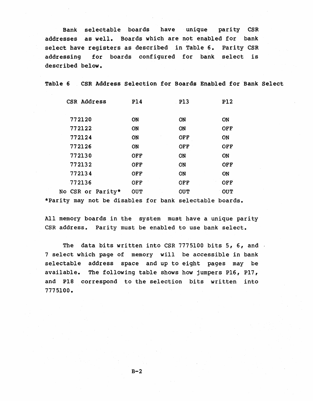Bank selectable boards have unique parity CSR addresses as well. Boards which are not enabled for bank select have registers as described in Table 6. Parity CSR addressing for boards configured for bank select is described below.

Table 6 CSR Address Selection for Boards Enabled for Bank Select

| CSR Address       | <b>P14</b> | <b>P13</b> | <b>P12</b> |
|-------------------|------------|------------|------------|
| 772120            | <b>ON</b>  | ON         | <b>ON</b>  |
| 772122            | <b>ON</b>  | <b>ON</b>  | <b>OFF</b> |
| 772124            | ON         | <b>OFF</b> | ON         |
| 772126            | <b>ON</b>  | <b>OFF</b> | <b>OFF</b> |
| 772130            | <b>OFF</b> | <b>ON</b>  | <b>ON</b>  |
| 772132            | <b>OFF</b> | <b>ON</b>  | <b>OFF</b> |
| 772134            | <b>OFF</b> | <b>ON</b>  | <b>ON</b>  |
| 772136            | OFF        | <b>OFF</b> | OFF        |
| No CSR or Parity* | <b>OUT</b> | <b>OUT</b> | <b>OUT</b> |
|                   |            |            |            |

\*Parity may not be disables for bank selectable boards.

All memory boards in the system must have a unique parity CSR address. Parity must be enabled to use bank select.

The data bits written into CSR 7775100 bits 5, 6, and 7 select which page of memory will be accessible in bank selectable address space and up to eight pages may be available. The following table shows how jumpers P16, P17, and PlS correspond to the selection bits written into 7775100.

 $B-2$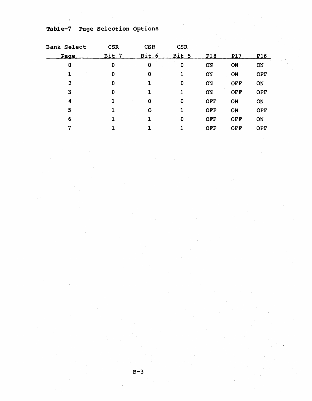Table-7 Page Selection Options

| <b>Bank Select</b> | <b>CSR</b> | <b>CSR</b> | <b>CSR</b> |            |            |            |
|--------------------|------------|------------|------------|------------|------------|------------|
| <u>Page</u>        | Bit 7      | Bit 6      | Bit 5      | P18        | P17        | P16        |
| 0                  | 0          | 0          | 0          | ON         | ON         | ON         |
|                    | 0          | 0          |            | ON         | ON         | <b>OFF</b> |
| $\mathbf{2}$       | 0          |            | 0          | ON         | <b>OFF</b> | ON         |
| 3                  | 0          |            |            | ON         | <b>OFF</b> | <b>OFF</b> |
| 4                  |            | 0          | 0          | <b>OFF</b> | ON         | ON         |
| 5                  |            | Ο          |            | <b>OFF</b> | ON         | <b>OFF</b> |
| 6                  |            |            | 0          | <b>OFF</b> | <b>OFF</b> | ON         |
|                    |            |            |            | <b>OFF</b> | OFF        | <b>OFF</b> |